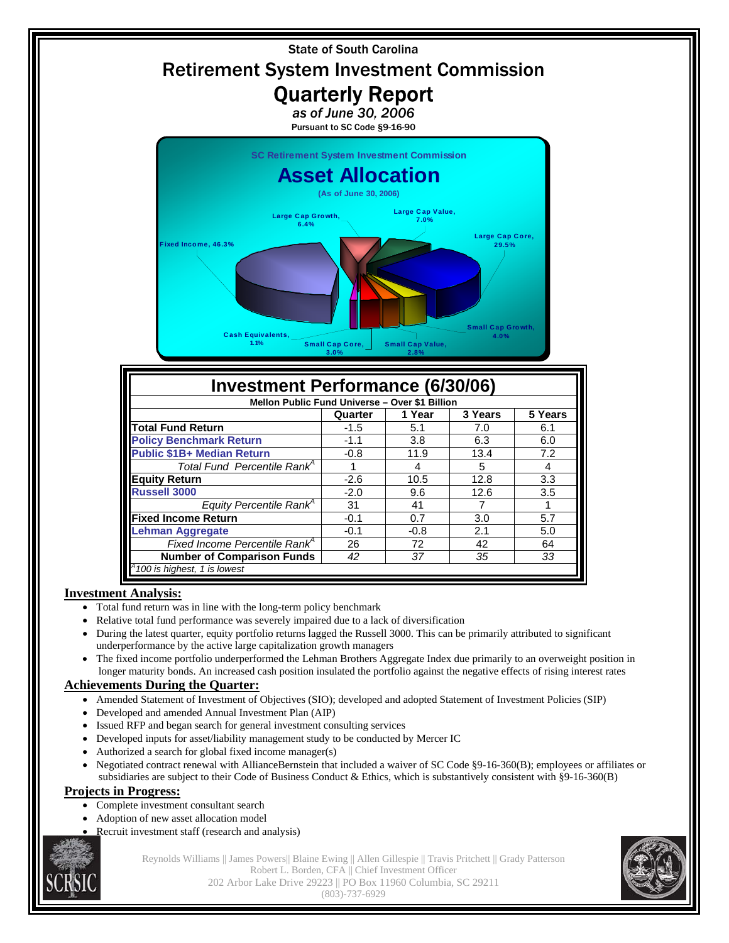

- **Investment Analysis:** 
	- Total fund return was in line with the long-term policy benchmark
	- Relative total fund performance was severely impaired due to a lack of diversification
	- During the latest quarter, equity portfolio returns lagged the Russell 3000. This can be primarily attributed to significant underperformance by the active large capitalization growth managers
	- The fixed income portfolio underperformed the Lehman Brothers Aggregate Index due primarily to an overweight position in longer maturity bonds. An increased cash position insulated the portfolio against the negative effects of rising interest rates

**Number of Comparison Funds**  42  $\vert$  37  $\vert$  35  $\vert$  33

## **Achievements During the Quarter:**

- Amended Statement of Investment of Objectives (SIO); developed and adopted Statement of Investment Policies (SIP)
- Developed and amended Annual Investment Plan (AIP)

*100 is highest, 1 is lowest*

- Issued RFP and began search for general investment consulting services
- Developed inputs for asset/liability management study to be conducted by Mercer IC
- Authorized a search for global fixed income manager(s)
- Negotiated contract renewal with AllianceBernstein that included a waiver of SC Code §9-16-360(B); employees or affiliates or subsidiaries are subject to their Code of Business Conduct & Ethics, which is substantively consistent with §9-16-360(B)

## **Projects in Progress:**

- Complete investment consultant search
- Adoption of new asset allocation model
- Recruit investment staff (research and analysis)



Reynolds Williams || James Powers|| Blaine Ewing || Allen Gillespie || Travis Pritchett || Grady Patterson Robert L. Borden, CFA || Chief Investment Officer 202 Arbor Lake Drive 29223 || PO Box 11960 Columbia, SC 29211 (803)-737-6929